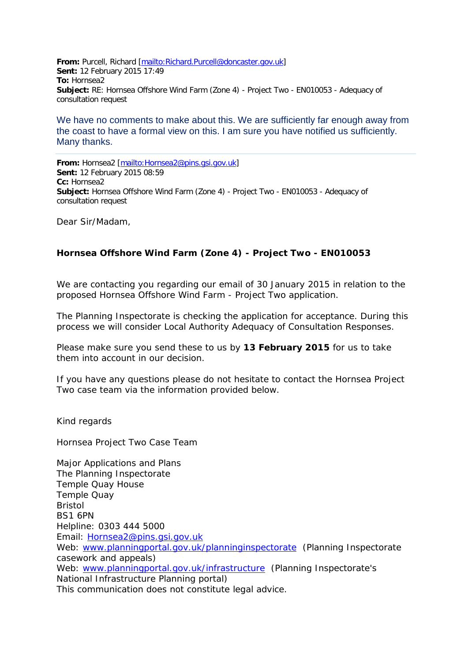**From:** Purcell, Richard [\[mailto:Richard.Purcell@doncaster.gov.uk\]](mailto:Richard.Purcell@doncaster.gov.uk) **Sent:** 12 February 2015 17:49 **To:** Hornsea2 **Subject:** RE: Hornsea Offshore Wind Farm (Zone 4) - Project Two - EN010053 - Adequacy of consultation request

We have no comments to make about this. We are sufficiently far enough away from the coast to have a formal view on this. I am sure you have notified us sufficiently. Many thanks.

**From:** Hornsea2 [\[mailto:Hornsea2@pins.gsi.gov.uk\]](mailto:Hornsea2@pins.gsi.gov.uk) **Sent:** 12 February 2015 08:59 **Cc:** Hornsea2 **Subject:** Hornsea Offshore Wind Farm (Zone 4) - Project Two - EN010053 - Adequacy of consultation request

Dear Sir/Madam,

## **Hornsea Offshore Wind Farm (Zone 4) - Project Two - EN010053**

We are contacting you regarding our email of 30 January 2015 in relation to the proposed Hornsea Offshore Wind Farm - Project Two application.

The Planning Inspectorate is checking the application for acceptance. During this process we will consider Local Authority Adequacy of Consultation Responses.

Please make sure you send these to us by **13 February 2015** for us to take them into account in our decision.

If you have any questions please do not hesitate to contact the Hornsea Project Two case team via the information provided below.

Kind regards

Hornsea Project Two Case Team

Major Applications and Plans The Planning Inspectorate Temple Quay House Temple Quay Bristol BS1 6PN Helpline: 0303 444 5000 Email: [Hornsea2@pins.gsi.gov.uk](mailto:Hornsea2@pins.gsi.gov.uk)  Web: [www.planningportal.gov.uk/planninginspectorate](http://www.planningportal.gov.uk/planninginspectorate) (Planning Inspectorate casework and appeals) Web: [www.planningportal.gov.uk/infrastructure](http://www.planningportal.gov.uk/infrastructure) (Planning Inspectorate's National Infrastructure Planning portal) This communication does not constitute legal advice.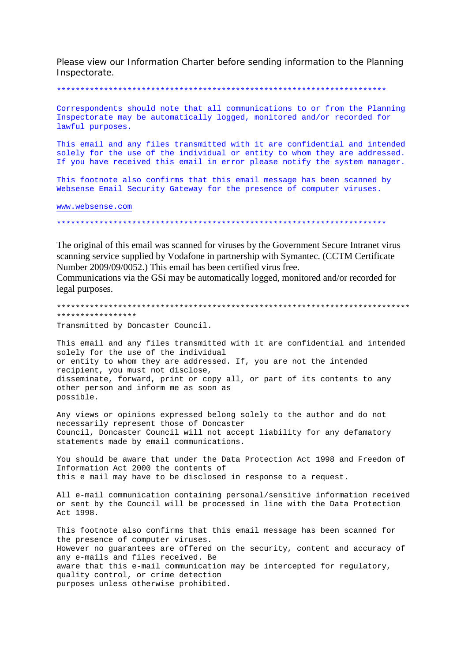Please view our Information Charter before sending information to the Planning Inspectorate.

## 

Correspondents should note that all communications to or from the Planning Inspectorate may be automatically logged, monitored and/or recorded for lawful purposes.

This email and any files transmitted with it are confidential and intended solely for the use of the individual or entity to whom they are addressed. If you have received this email in error please notify the system manager.

This footnote also confirms that this email message has been scanned by Websense Email Security Gateway for the presence of computer viruses.

www.websense.com

The original of this email was scanned for viruses by the Government Secure Intranet virus scanning service supplied by Vodafone in partnership with Symantec. (CCTM Certificate Number 2009/09/0052.) This email has been certified virus free.

Communications via the GSi may be automatically logged, monitored and/or recorded for legal purposes.

\*\*\*\*\*\*\*\*\*\*\*\*\*\*\*\*\* Transmitted by Doncaster Council.

This email and any files transmitted with it are confidential and intended solely for the use of the individual or entity to whom they are addressed. If, you are not the intended recipient, you must not disclose, disseminate, forward, print or copy all, or part of its contents to any other person and inform me as soon as possible.

Any views or opinions expressed belong solely to the author and do not necessarily represent those of Doncaster Council, Doncaster Council will not accept liability for any defamatory statements made by email communications.

You should be aware that under the Data Protection Act 1998 and Freedom of Information Act 2000 the contents of this e mail may have to be disclosed in response to a request.

All e-mail communication containing personal/sensitive information received or sent by the Council will be processed in line with the Data Protection Act 1998.

This footnote also confirms that this email message has been scanned for the presence of computer viruses. However no quarantees are offered on the security, content and accuracy of any e-mails and files received. Be aware that this e-mail communication may be intercepted for regulatory, quality control, or crime detection purposes unless otherwise prohibited.